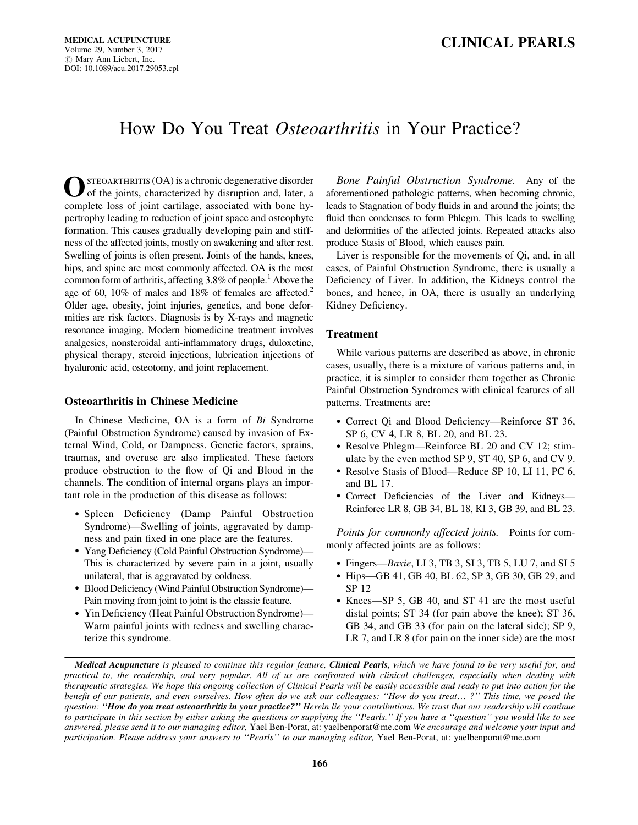# How Do You Treat Osteoarthritis in Your Practice?

OSTEOARTHRITIS (OA) is a chronic degenerative disorder of the joints, characterized by disruption and, later, a complete loss of joint cartilage, associated with bone hypertrophy leading to reduction of joint space and osteophyte formation. This causes gradually developing pain and stiffness of the affected joints, mostly on awakening and after rest. Swelling of joints is often present. Joints of the hands, knees, hips, and spine are most commonly affected. OA is the most common form of arthritis, affecting  $3.8\%$  of people.<sup>1</sup> Above the age of 60, 10% of males and 18% of females are affected.<sup>2</sup> Older age, obesity, joint injuries, genetics, and bone deformities are risk factors. Diagnosis is by X-rays and magnetic resonance imaging. Modern biomedicine treatment involves analgesics, nonsteroidal anti-inflammatory drugs, duloxetine, physical therapy, steroid injections, lubrication injections of hyaluronic acid, osteotomy, and joint replacement.

## Osteoarthritis in Chinese Medicine

In Chinese Medicine, OA is a form of Bi Syndrome (Painful Obstruction Syndrome) caused by invasion of External Wind, Cold, or Dampness. Genetic factors, sprains, traumas, and overuse are also implicated. These factors produce obstruction to the flow of Qi and Blood in the channels. The condition of internal organs plays an important role in the production of this disease as follows:

- Spleen Deficiency (Damp Painful Obstruction Syndrome)—Swelling of joints, aggravated by dampness and pain fixed in one place are the features.
- Yang Deficiency (Cold Painful Obstruction Syndrome)— This is characterized by severe pain in a joint, usually unilateral, that is aggravated by coldness.
- Blood Deficiency (Wind Painful Obstruction Syndrome)— Pain moving from joint to joint is the classic feature.
- Yin Deficiency (Heat Painful Obstruction Syndrome)— Warm painful joints with redness and swelling characterize this syndrome.

Bone Painful Obstruction Syndrome. Any of the aforementioned pathologic patterns, when becoming chronic, leads to Stagnation of body fluids in and around the joints; the fluid then condenses to form Phlegm. This leads to swelling and deformities of the affected joints. Repeated attacks also produce Stasis of Blood, which causes pain.

Liver is responsible for the movements of Qi, and, in all cases, of Painful Obstruction Syndrome, there is usually a Deficiency of Liver. In addition, the Kidneys control the bones, and hence, in OA, there is usually an underlying Kidney Deficiency.

## Treatment

While various patterns are described as above, in chronic cases, usually, there is a mixture of various patterns and, in practice, it is simpler to consider them together as Chronic Painful Obstruction Syndromes with clinical features of all patterns. Treatments are:

- Correct Qi and Blood Deficiency—Reinforce ST 36, SP 6, CV 4, LR 8, BL 20, and BL 23.
- Resolve Phlegm—Reinforce BL 20 and CV 12; stimulate by the even method SP 9, ST 40, SP 6, and CV 9.
- Resolve Stasis of Blood—Reduce SP 10, LI 11, PC 6, and BL 17.
- Correct Deficiencies of the Liver and Kidneys— Reinforce LR 8, GB 34, BL 18, KI 3, GB 39, and BL 23.

Points for commonly affected joints. Points for commonly affected joints are as follows:

- Fingers—Baxie, LI 3, TB 3, SI 3, TB 5, LU 7, and SI 5
- Hips—GB 41, GB 40, BL 62, SP 3, GB 30, GB 29, and SP 12
- Knees—SP 5, GB 40, and ST 41 are the most useful distal points; ST 34 (for pain above the knee); ST 36, GB 34, and GB 33 (for pain on the lateral side); SP 9, LR 7, and LR 8 (for pain on the inner side) are the most

Medical Acupuncture is pleased to continue this regular feature, Clinical Pearls, which we have found to be very useful for, and practical to, the readership, and very popular. All of us are confronted with clinical challenges, especially when dealing with therapeutic strategies. We hope this ongoing collection of Clinical Pearls will be easily accessible and ready to put into action for the benefit of our patients, and even ourselves. How often do we ask our colleagues: ''How do you treat. ?'' This time, we posed the question: "How do you treat osteoarthritis in your practice?" Herein lie your contributions. We trust that our readership will continue to participate in this section by either asking the questions or supplying the ''Pearls.'' If you have a ''question'' you would like to see answered, please send it to our managing editor, Yael Ben-Porat, at: yaelbenporat@me.com We encourage and welcome your input and participation. Please address your answers to ''Pearls'' to our managing editor, Yael Ben-Porat, at: yaelbenporat@me.com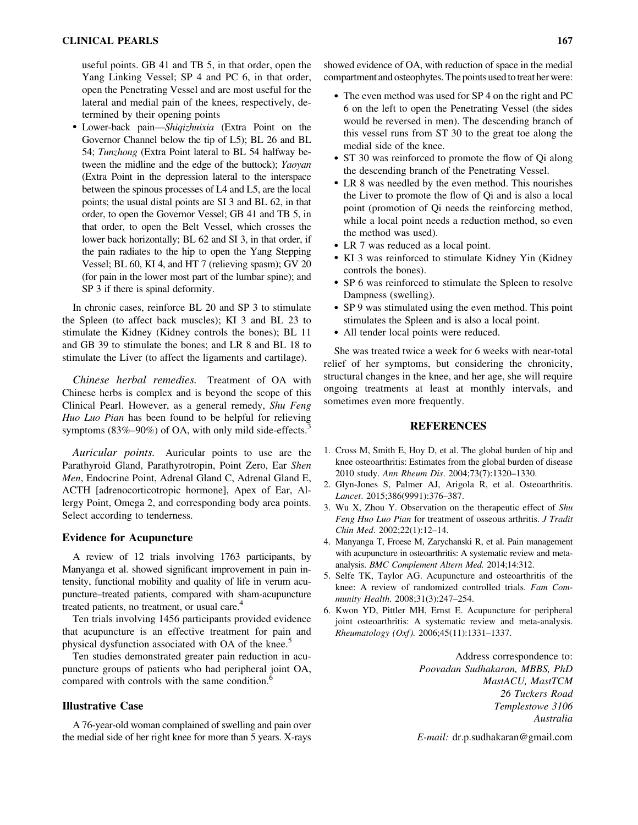useful points. GB 41 and TB 5, in that order, open the Yang Linking Vessel; SP 4 and PC 6, in that order, open the Penetrating Vessel and are most useful for the lateral and medial pain of the knees, respectively, determined by their opening points

• Lower-back pain-Shiqizhuixia (Extra Point on the Governor Channel below the tip of L5); BL 26 and BL 54; Tunzhong (Extra Point lateral to BL 54 halfway between the midline and the edge of the buttock); Yaoyan (Extra Point in the depression lateral to the interspace between the spinous processes of L4 and L5, are the local points; the usual distal points are SI 3 and BL 62, in that order, to open the Governor Vessel; GB 41 and TB 5, in that order, to open the Belt Vessel, which crosses the lower back horizontally; BL 62 and SI 3, in that order, if the pain radiates to the hip to open the Yang Stepping Vessel; BL 60, KI 4, and HT 7 (relieving spasm); GV 20 (for pain in the lower most part of the lumbar spine); and SP 3 if there is spinal deformity.

In chronic cases, reinforce BL 20 and SP 3 to stimulate the Spleen (to affect back muscles); KI 3 and BL 23 to stimulate the Kidney (Kidney controls the bones); BL 11 and GB 39 to stimulate the bones; and LR 8 and BL 18 to stimulate the Liver (to affect the ligaments and cartilage).

Chinese herbal remedies. Treatment of OA with Chinese herbs is complex and is beyond the scope of this Clinical Pearl. However, as a general remedy, Shu Feng Huo Luo Pian has been found to be helpful for relieving symptoms  $(83\% - 90\%)$  of OA, with only mild side-effects.<sup>3</sup>

Auricular points. Auricular points to use are the Parathyroid Gland, Parathyrotropin, Point Zero, Ear Shen Men, Endocrine Point, Adrenal Gland C, Adrenal Gland E, ACTH [adrenocorticotropic hormone], Apex of Ear, Allergy Point, Omega 2, and corresponding body area points. Select according to tenderness.

## Evidence for Acupuncture

A review of 12 trials involving 1763 participants, by Manyanga et al. showed significant improvement in pain intensity, functional mobility and quality of life in verum acupuncture–treated patients, compared with sham-acupuncture treated patients, no treatment, or usual care.<sup>4</sup>

Ten trials involving 1456 participants provided evidence that acupuncture is an effective treatment for pain and physical dysfunction associated with OA of the knee.<sup>5</sup>

Ten studies demonstrated greater pain reduction in acupuncture groups of patients who had peripheral joint OA, compared with controls with the same condition.<sup>6</sup>

#### Illustrative Case

A 76-year-old woman complained of swelling and pain over the medial side of her right knee for more than 5 years. X-rays

showed evidence of OA, with reduction of space in the medial compartment and osteophytes. The points used to treat her were:

- The even method was used for SP 4 on the right and PC 6 on the left to open the Penetrating Vessel (the sides would be reversed in men). The descending branch of this vessel runs from ST 30 to the great toe along the medial side of the knee.
- ST 30 was reinforced to promote the flow of Qi along the descending branch of the Penetrating Vessel.
- LR 8 was needled by the even method. This nourishes the Liver to promote the flow of Qi and is also a local point (promotion of Qi needs the reinforcing method, while a local point needs a reduction method, so even the method was used).
- LR 7 was reduced as a local point.
- KI 3 was reinforced to stimulate Kidney Yin (Kidney controls the bones).
- SP 6 was reinforced to stimulate the Spleen to resolve Dampness (swelling).
- SP 9 was stimulated using the even method. This point stimulates the Spleen and is also a local point.
- All tender local points were reduced.

She was treated twice a week for 6 weeks with near-total relief of her symptoms, but considering the chronicity, structural changes in the knee, and her age, she will require ongoing treatments at least at monthly intervals, and sometimes even more frequently.

## **REFERENCES**

- 1. Cross M, Smith E, Hoy D, et al. The global burden of hip and knee osteoarthritis: Estimates from the global burden of disease 2010 study. Ann Rheum Dis. 2004;73(7):1320–1330.
- 2. Glyn-Jones S, Palmer AJ, Arigola R, et al. Osteoarthritis. Lancet. 2015;386(9991):376–387.
- 3. Wu X, Zhou Y. Observation on the therapeutic effect of Shu Feng Huo Luo Pian for treatment of osseous arthritis. J Tradit Chin Med. 2002;22(1):12–14.
- 4. Manyanga T, Froese M, Zarychanski R, et al. Pain management with acupuncture in osteoarthritis: A systematic review and metaanalysis. BMC Complement Altern Med. 2014;14:312.
- 5. Selfe TK, Taylor AG. Acupuncture and osteoarthritis of the knee: A review of randomized controlled trials. Fam Community Health. 2008;31(3):247–254.
- 6. Kwon YD, Pittler MH, Ernst E. Acupuncture for peripheral joint osteoarthritis: A systematic review and meta-analysis. Rheumatology (Oxf). 2006;45(11):1331-1337.

Address correspondence to: Poovadan Sudhakaran, MBBS, PhD MastACU, MastTCM 26 Tuckers Road Templestowe 3106 Australia

E-mail: dr.p.sudhakaran@gmail.com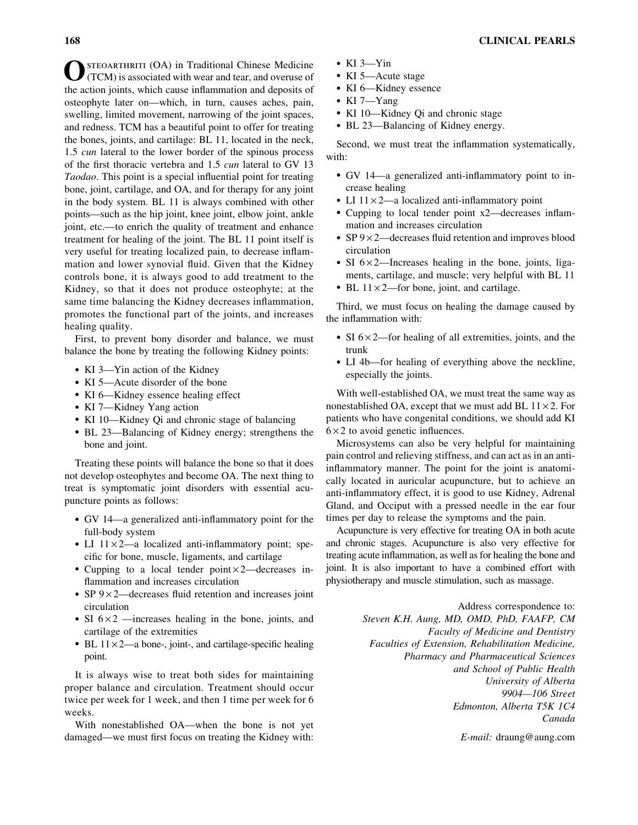STEOARTHRITI (OA) in Traditional Chinese Medicine (TCM) is associated with wear and tear, and overuse of the action joints, which cause inflammation and deposits of osteophyte later on—which, in turn, causes aches, pain, swelling, limited movement, narrowing of the joint spaces, and redness. TCM has a beautiful point to offer for treating the bones, joints, and cartilage: BL 11, located in the neck, 1.5 cun lateral to the lower border of the spinous process of the first thoracic vertebra and 1.5 cun lateral to GV 13 Taodao. This point is a special influential point for treating bone, joint, cartilage, and OA, and for therapy for any joint in the body system. BL 11 is always combined with other points—such as the hip joint, knee joint, elbow joint, ankle joint, etc.—to enrich the quality of treatment and enhance treatment for healing of the joint. The BL 11 point itself is very useful for treating localized pain, to decrease inflammation and lower synovial fluid. Given that the Kidney controls bone, it is always good to add treatment to the Kidney, so that it does not produce osteophyte; at the same time balancing the Kidney decreases inflammation, promotes the functional part of the joints, and increases healing quality.

First, to prevent bony disorder and balance, we must balance the bone by treating the following Kidney points:

- KI 3-Yin action of the Kidney
- KI 5—Acute disorder of the bone
- KI 6—Kidney essence healing effect
- KI 7—Kidney Yang action
- KI 10—Kidney Qi and chronic stage of balancing
- BL 23—Balancing of Kidney energy; strengthens the bone and joint.

Treating these points will balance the bone so that it does not develop osteophytes and become OA. The next thing to treat is symptomatic joint disorders with essential acupuncture points as follows:

- GV 14—a generalized anti-inflammatory point for the full-body system
- LI  $11 \times 2$ —a localized anti-inflammatory point; specific for bone, muscle, ligaments, and cartilage
- Cupping to a local tender point × 2—decreases inflammation and increases circulation
- SP 9×2—decreases fluid retention and increases joint circulation
- SI  $6 \times 2$  —increases healing in the bone, joints, and cartilage of the extremities
- $\bullet$  BL 11 $\times$ 2—a bone-, joint-, and cartilage-specific healing point.

It is always wise to treat both sides for maintaining proper balance and circulation. Treatment should occur twice per week for 1 week, and then 1 time per week for 6 weeks.

With nonestablished OA—when the bone is not yet damaged—we must first focus on treating the Kidney with:

- KI 3—Yin
- KI 5-Acute stage
- KI 6-Kidney essence
- KI 7—Yang
- KI 10-Kidney Qi and chronic stage
- BL 23—Balancing of Kidney energy.

Second, we must treat the inflammation systematically, with:

- GV 14—a generalized anti-inflammatory point to increase healing
- LI  $11 \times 2$ —a localized anti-inflammatory point
- Cupping to local tender point x2—decreases inflammation and increases circulation
- SP  $9 \times 2$ —decreases fluid retention and improves blood circulation
- SI  $6 \times 2$ —Increases healing in the bone, joints, ligaments, cartilage, and muscle; very helpful with BL 11
- $\bullet$  BL 11×2—for bone, joint, and cartilage.

Third, we must focus on healing the damage caused by the inflammation with:

- SI  $6 \times 2$ —for healing of all extremities, joints, and the trunk
- LI 4b—for healing of everything above the neckline, especially the joints.

With well-established OA, we must treat the same way as nonestablished OA, except that we must add BL  $11 \times 2$ . For patients who have congenital conditions, we should add KI  $6 \times 2$  to avoid genetic influences.

Microsystems can also be very helpful for maintaining pain control and relieving stiffness, and can act as in an antiinflammatory manner. The point for the joint is anatomically located in auricular acupuncture, but to achieve an anti-inflammatory effect, it is good to use Kidney, Adrenal Gland, and Occiput with a pressed needle in the ear four times per day to release the symptoms and the pain.

Acupuncture is very effective for treating OA in both acute and chronic stages. Acupuncture is also very effective for treating acute inflammation, as well as for healing the bone and joint. It is also important to have a combined effort with physiotherapy and muscle stimulation, such as massage.

> Address correspondence to: Steven K.H. Aung, MD, OMD, PhD, FAAFP, CM Faculty of Medicine and Dentistry Faculties of Extension, Rehabilitation Medicine, Pharmacy and Pharmaceutical Sciences and School of Public Health University of Alberta 9904—106 Street Edmonton, Alberta T5K 1C4 Canada

> > E-mail: draung@aung.com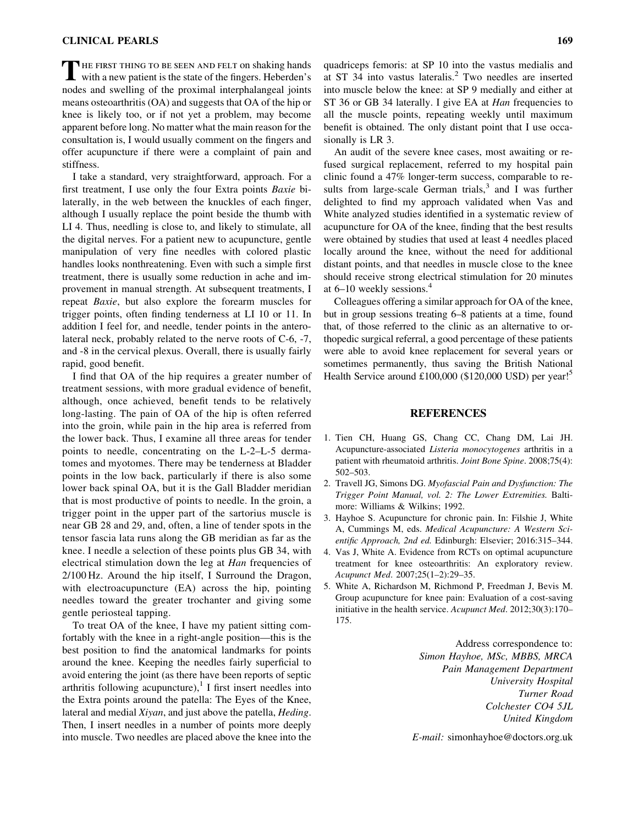THE FIRST THING TO BE SEEN AND FELT ON shaking hands with a new patient is the state of the fingers. Heberden's nodes and swelling of the proximal interphalangeal joints means osteoarthritis (OA) and suggests that OA of the hip or knee is likely too, or if not yet a problem, may become apparent before long. No matter what the main reason for the consultation is, I would usually comment on the fingers and offer acupuncture if there were a complaint of pain and stiffness.

I take a standard, very straightforward, approach. For a first treatment, I use only the four Extra points Baxie bilaterally, in the web between the knuckles of each finger, although I usually replace the point beside the thumb with LI 4. Thus, needling is close to, and likely to stimulate, all the digital nerves. For a patient new to acupuncture, gentle manipulation of very fine needles with colored plastic handles looks nonthreatening. Even with such a simple first treatment, there is usually some reduction in ache and improvement in manual strength. At subsequent treatments, I repeat Baxie, but also explore the forearm muscles for trigger points, often finding tenderness at LI 10 or 11. In addition I feel for, and needle, tender points in the anterolateral neck, probably related to the nerve roots of C-6, -7, and -8 in the cervical plexus. Overall, there is usually fairly rapid, good benefit.

I find that OA of the hip requires a greater number of treatment sessions, with more gradual evidence of benefit, although, once achieved, benefit tends to be relatively long-lasting. The pain of OA of the hip is often referred into the groin, while pain in the hip area is referred from the lower back. Thus, I examine all three areas for tender points to needle, concentrating on the L-2–L-5 dermatomes and myotomes. There may be tenderness at Bladder points in the low back, particularly if there is also some lower back spinal OA, but it is the Gall Bladder meridian that is most productive of points to needle. In the groin, a trigger point in the upper part of the sartorius muscle is near GB 28 and 29, and, often, a line of tender spots in the tensor fascia lata runs along the GB meridian as far as the knee. I needle a selection of these points plus GB 34, with electrical stimulation down the leg at *Han* frequencies of 2/100 Hz. Around the hip itself, I Surround the Dragon, with electroacupuncture (EA) across the hip, pointing needles toward the greater trochanter and giving some gentle periosteal tapping.

To treat OA of the knee, I have my patient sitting comfortably with the knee in a right-angle position—this is the best position to find the anatomical landmarks for points around the knee. Keeping the needles fairly superficial to avoid entering the joint (as there have been reports of septic arthritis following acupuncture), $\frac{1}{1}$  first insert needles into the Extra points around the patella: The Eyes of the Knee, lateral and medial Xiyan, and just above the patella, *Heding*. Then, I insert needles in a number of points more deeply into muscle. Two needles are placed above the knee into the

quadriceps femoris: at SP 10 into the vastus medialis and at ST 34 into vastus lateralis.<sup>2</sup> Two needles are inserted into muscle below the knee: at SP 9 medially and either at ST 36 or GB 34 laterally. I give EA at *Han* frequencies to all the muscle points, repeating weekly until maximum benefit is obtained. The only distant point that I use occasionally is LR 3.

An audit of the severe knee cases, most awaiting or refused surgical replacement, referred to my hospital pain clinic found a 47% longer-term success, comparable to results from large-scale German trials, $3$  and I was further delighted to find my approach validated when Vas and White analyzed studies identified in a systematic review of acupuncture for OA of the knee, finding that the best results were obtained by studies that used at least 4 needles placed locally around the knee, without the need for additional distant points, and that needles in muscle close to the knee should receive strong electrical stimulation for 20 minutes at  $6-10$  weekly sessions.<sup>4</sup>

Colleagues offering a similar approach for OA of the knee, but in group sessions treating 6–8 patients at a time, found that, of those referred to the clinic as an alternative to orthopedic surgical referral, a good percentage of these patients were able to avoid knee replacement for several years or sometimes permanently, thus saving the British National Health Service around  $£100,000$  (\$120,000 USD) per year!<sup>5</sup>

### **REFERENCES**

- 1. Tien CH, Huang GS, Chang CC, Chang DM, Lai JH. Acupuncture-associated Listeria monocytogenes arthritis in a patient with rheumatoid arthritis. Joint Bone Spine. 2008;75(4): 502–503.
- 2. Travell JG, Simons DG. Myofascial Pain and Dysfunction: The Trigger Point Manual, vol. 2: The Lower Extremities. Baltimore: Williams & Wilkins; 1992.
- 3. Hayhoe S. Acupuncture for chronic pain. In: Filshie J, White A, Cummings M, eds. Medical Acupuncture: A Western Scientific Approach, 2nd ed. Edinburgh: Elsevier; 2016:315–344.
- 4. Vas J, White A. Evidence from RCTs on optimal acupuncture treatment for knee osteoarthritis: An exploratory review. Acupunct Med. 2007;25(1–2):29–35.
- 5. White A, Richardson M, Richmond P, Freedman J, Bevis M. Group acupuncture for knee pain: Evaluation of a cost-saving initiative in the health service. Acupunct Med. 2012;30(3):170– 175.

Address correspondence to: Simon Hayhoe, MSc, MBBS, MRCA Pain Management Department University Hospital Turner Road Colchester CO4 5JL United Kingdom

E-mail: simonhayhoe@doctors.org.uk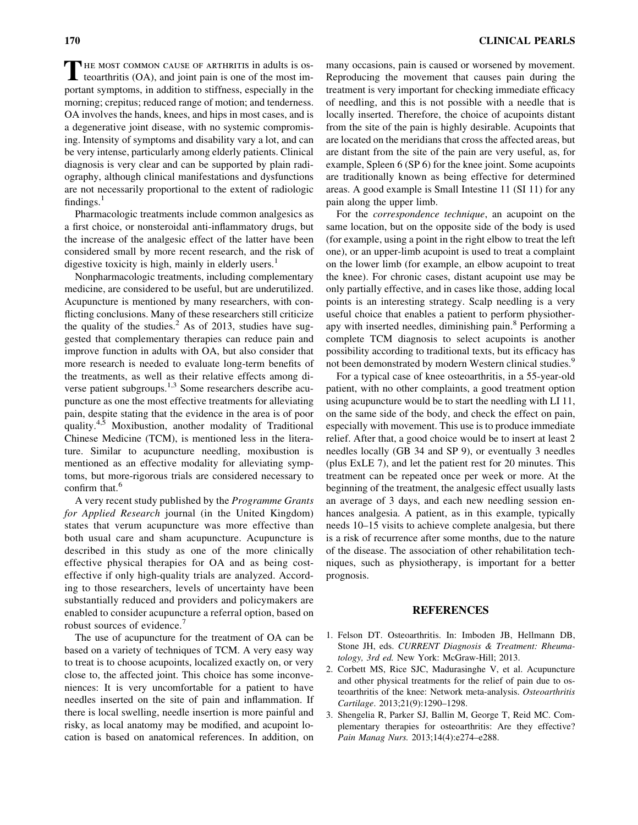THE MOST COMMON CAUSE OF ARTHRITIS in adults is os-<br>teoarthritis (OA), and joint pain is one of the most important symptoms, in addition to stiffness, especially in the morning; crepitus; reduced range of motion; and tenderness. OA involves the hands, knees, and hips in most cases, and is a degenerative joint disease, with no systemic compromising. Intensity of symptoms and disability vary a lot, and can be very intense, particularly among elderly patients. Clinical diagnosis is very clear and can be supported by plain radiography, although clinical manifestations and dysfunctions are not necessarily proportional to the extent of radiologic findings. $<sup>1</sup>$ </sup>

Pharmacologic treatments include common analgesics as a first choice, or nonsteroidal anti-inflammatory drugs, but the increase of the analgesic effect of the latter have been considered small by more recent research, and the risk of digestive toxicity is high, mainly in elderly users. $<sup>1</sup>$ </sup>

Nonpharmacologic treatments, including complementary medicine, are considered to be useful, but are underutilized. Acupuncture is mentioned by many researchers, with conflicting conclusions. Many of these researchers still criticize the quality of the studies. $<sup>2</sup>$  As of 2013, studies have sug-</sup> gested that complementary therapies can reduce pain and improve function in adults with OA, but also consider that more research is needed to evaluate long-term benefits of the treatments, as well as their relative effects among diverse patient subgroups.<sup>1,3</sup> Some researchers describe acupuncture as one the most effective treatments for alleviating pain, despite stating that the evidence in the area is of poor quality.4,5 Moxibustion, another modality of Traditional Chinese Medicine (TCM), is mentioned less in the literature. Similar to acupuncture needling, moxibustion is mentioned as an effective modality for alleviating symptoms, but more-rigorous trials are considered necessary to confirm that.<sup>6</sup>

A very recent study published by the Programme Grants for Applied Research journal (in the United Kingdom) states that verum acupuncture was more effective than both usual care and sham acupuncture. Acupuncture is described in this study as one of the more clinically effective physical therapies for OA and as being costeffective if only high-quality trials are analyzed. According to those researchers, levels of uncertainty have been substantially reduced and providers and policymakers are enabled to consider acupuncture a referral option, based on robust sources of evidence.<sup>7</sup>

The use of acupuncture for the treatment of OA can be based on a variety of techniques of TCM. A very easy way to treat is to choose acupoints, localized exactly on, or very close to, the affected joint. This choice has some inconveniences: It is very uncomfortable for a patient to have needles inserted on the site of pain and inflammation. If there is local swelling, needle insertion is more painful and risky, as local anatomy may be modified, and acupoint location is based on anatomical references. In addition, on many occasions, pain is caused or worsened by movement. Reproducing the movement that causes pain during the treatment is very important for checking immediate efficacy of needling, and this is not possible with a needle that is locally inserted. Therefore, the choice of acupoints distant from the site of the pain is highly desirable. Acupoints that are located on the meridians that cross the affected areas, but are distant from the site of the pain are very useful, as, for example, Spleen 6 (SP 6) for the knee joint. Some acupoints are traditionally known as being effective for determined areas. A good example is Small Intestine 11 (SI 11) for any pain along the upper limb.

For the correspondence technique, an acupoint on the same location, but on the opposite side of the body is used (for example, using a point in the right elbow to treat the left one), or an upper-limb acupoint is used to treat a complaint on the lower limb (for example, an elbow acupoint to treat the knee). For chronic cases, distant acupoint use may be only partially effective, and in cases like those, adding local points is an interesting strategy. Scalp needling is a very useful choice that enables a patient to perform physiotherapy with inserted needles, diminishing pain.<sup>8</sup> Performing a complete TCM diagnosis to select acupoints is another possibility according to traditional texts, but its efficacy has not been demonstrated by modern Western clinical studies.<sup>9</sup>

For a typical case of knee osteoarthritis, in a 55-year-old patient, with no other complaints, a good treatment option using acupuncture would be to start the needling with LI 11, on the same side of the body, and check the effect on pain, especially with movement. This use is to produce immediate relief. After that, a good choice would be to insert at least 2 needles locally (GB 34 and SP 9), or eventually 3 needles (plus ExLE 7), and let the patient rest for 20 minutes. This treatment can be repeated once per week or more. At the beginning of the treatment, the analgesic effect usually lasts an average of 3 days, and each new needling session enhances analgesia. A patient, as in this example, typically needs 10–15 visits to achieve complete analgesia, but there is a risk of recurrence after some months, due to the nature of the disease. The association of other rehabilitation techniques, such as physiotherapy, is important for a better prognosis.

#### REFERENCES

- 1. Felson DT. Osteoarthritis. In: Imboden JB, Hellmann DB, Stone JH, eds. CURRENT Diagnosis & Treatment: Rheumatology, 3rd ed. New York: McGraw-Hill; 2013.
- 2. Corbett MS, Rice SJC, Madurasinghe V, et al. Acupuncture and other physical treatments for the relief of pain due to osteoarthritis of the knee: Network meta-analysis. Osteoarthritis Cartilage. 2013;21(9):1290–1298.
- 3. Shengelia R, Parker SJ, Ballin M, George T, Reid MC. Complementary therapies for osteoarthritis: Are they effective? Pain Manag Nurs. 2013;14(4):e274–e288.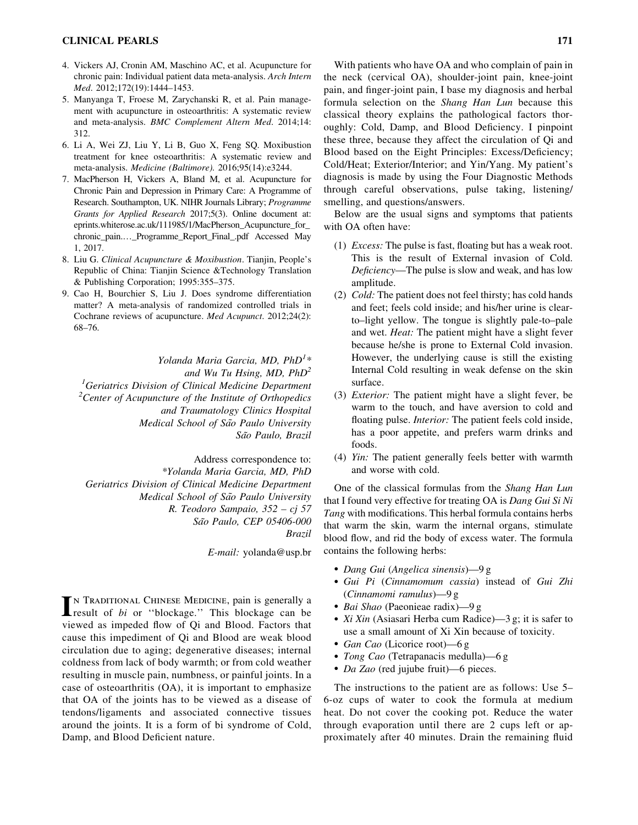- 4. Vickers AJ, Cronin AM, Maschino AC, et al. Acupuncture for chronic pain: Individual patient data meta-analysis. Arch Intern Med. 2012;172(19):1444–1453.
- 5. Manyanga T, Froese M, Zarychanski R, et al. Pain management with acupuncture in osteoarthritis: A systematic review and meta-analysis. BMC Complement Altern Med. 2014;14: 312.
- 6. Li A, Wei ZJ, Liu Y, Li B, Guo X, Feng SQ. Moxibustion treatment for knee osteoarthritis: A systematic review and meta-analysis. Medicine (Baltimore). 2016;95(14):e3244.
- 7. MacPherson H, Vickers A, Bland M, et al. Acupuncture for Chronic Pain and Depression in Primary Care: A Programme of Research. Southampton, UK. NIHR Journals Library; Programme Grants for Applied Research 2017;5(3). Online document at: eprints.whiterose.ac.uk/111985/1/MacPherson\_Acupuncture\_for\_ chronic\_pain..\_Programme\_Report\_Final\_.pdf Accessed May 1, 2017.
- 8. Liu G. Clinical Acupuncture & Moxibustion. Tianjin, People's Republic of China: Tianjin Science &Technology Translation & Publishing Corporation; 1995:355–375.
- 9. Cao H, Bourchier S, Liu J. Does syndrome differentiation matter? A meta-analysis of randomized controlled trials in Cochrane reviews of acupuncture. Med Acupunct. 2012;24(2): 68–76.

Yolanda Maria Garcia, MD, PhD<sup>1</sup>\* and Wu Tu Hsing, MD,  $PhD<sup>2</sup>$  ${}^{1}$ Geriatrics Division of Clinical Medicine Department  $2$ Center of Acupuncture of the Institute of Orthopedics and Traumatology Clinics Hospital Medical School of São Paulo University São Paulo, Brazil

Address correspondence to: \*Yolanda Maria Garcia, MD, PhD Geriatrics Division of Clinical Medicine Department Medical School of São Paulo University R. Teodoro Sampaio, 352 – cj 57 São Paulo, CEP 05406-000 Brazil

E-mail: yolanda@usp.br

IN TRADITIONAL CHINESE MEDICINE, pain is generally a result of *bi* or "blockage." This blockage can be n Traditional Chinese Medicine, pain is generally a viewed as impeded flow of Qi and Blood. Factors that cause this impediment of Qi and Blood are weak blood circulation due to aging; degenerative diseases; internal coldness from lack of body warmth; or from cold weather resulting in muscle pain, numbness, or painful joints. In a case of osteoarthritis (OA), it is important to emphasize that OA of the joints has to be viewed as a disease of tendons/ligaments and associated connective tissues around the joints. It is a form of bi syndrome of Cold, Damp, and Blood Deficient nature.

With patients who have OA and who complain of pain in the neck (cervical OA), shoulder-joint pain, knee-joint pain, and finger-joint pain, I base my diagnosis and herbal formula selection on the Shang Han Lun because this classical theory explains the pathological factors thoroughly: Cold, Damp, and Blood Deficiency. I pinpoint these three, because they affect the circulation of Qi and Blood based on the Eight Principles: Excess/Deficiency; Cold/Heat; Exterior/Interior; and Yin/Yang. My patient's diagnosis is made by using the Four Diagnostic Methods through careful observations, pulse taking, listening/ smelling, and questions/answers.

Below are the usual signs and symptoms that patients with OA often have:

- (1) Excess: The pulse is fast, floating but has a weak root. This is the result of External invasion of Cold. Deficiency—The pulse is slow and weak, and has low amplitude.
- (2) Cold: The patient does not feel thirsty; has cold hands and feet; feels cold inside; and his/her urine is clearto–light yellow. The tongue is slightly pale-to–pale and wet. Heat: The patient might have a slight fever because he/she is prone to External Cold invasion. However, the underlying cause is still the existing Internal Cold resulting in weak defense on the skin surface.
- (3) Exterior: The patient might have a slight fever, be warm to the touch, and have aversion to cold and floating pulse. *Interior*: The patient feels cold inside, has a poor appetite, and prefers warm drinks and foods.
- (4) Yin: The patient generally feels better with warmth and worse with cold.

One of the classical formulas from the Shang Han Lun that I found very effective for treating OA is Dang Gui Si Ni Tang with modifications. This herbal formula contains herbs that warm the skin, warm the internal organs, stimulate blood flow, and rid the body of excess water. The formula contains the following herbs:

- Dang Gui (Angelica sinensis)—9 g
- Gui Pi (Cinnamomum cassia) instead of Gui Zhi (Cinnamomi ramulus)—9 g
- Bai Shao (Paeonieae radix)—9 g
- *Xi Xin* (Asiasari Herba cum Radice)—3 g; it is safer to use a small amount of Xi Xin because of toxicity.
- Gan Cao (Licorice root)-6g
- Tong Cao (Tetrapanacis medulla)—6 g
- *Da Zao* (red jujube fruit)—6 pieces.

The instructions to the patient are as follows: Use 5– 6-oz cups of water to cook the formula at medium heat. Do not cover the cooking pot. Reduce the water through evaporation until there are 2 cups left or approximately after 40 minutes. Drain the remaining fluid